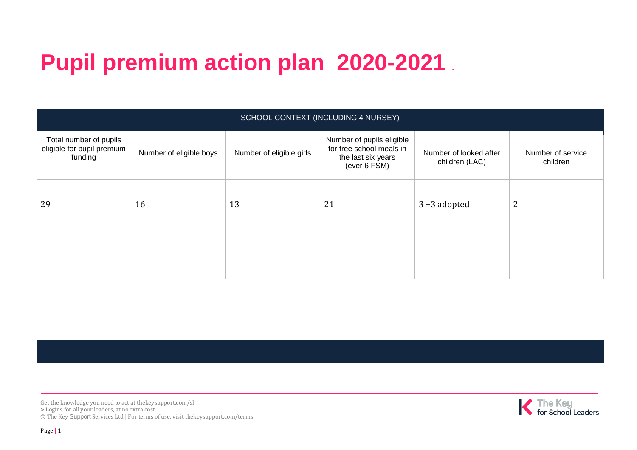## **Pupil premium action plan 2020-2021 .**

| SCHOOL CONTEXT (INCLUDING 4 NURSEY)                             |                         |                          |                                                                                             |                                          |                               |  |
|-----------------------------------------------------------------|-------------------------|--------------------------|---------------------------------------------------------------------------------------------|------------------------------------------|-------------------------------|--|
| Total number of pupils<br>eligible for pupil premium<br>funding | Number of eligible boys | Number of eligible girls | Number of pupils eligible<br>for free school meals in<br>the last six years<br>(ever 6 FSM) | Number of looked after<br>children (LAC) | Number of service<br>children |  |
| 29                                                              | 16                      | 13                       | 21                                                                                          | $3 + 3$ adopted                          | 2                             |  |

Get the knowledge you need to act at the key support.com/sl **>** Logins for all your leaders, at no extra cost © The Key Support Services Ltd | For terms of use, visit [thekeysupport.com/terms](https://thekeysupport.com/terms-of-use)

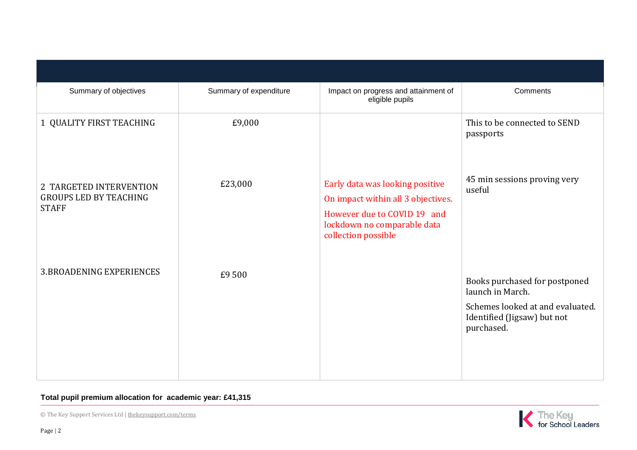| Summary of objectives                                                    | Summary of expenditure | Impact on progress and attainment of<br>eligible pupils                                                                                                    | Comments                                                                                                                           |
|--------------------------------------------------------------------------|------------------------|------------------------------------------------------------------------------------------------------------------------------------------------------------|------------------------------------------------------------------------------------------------------------------------------------|
| 1 QUALITY FIRST TEACHING                                                 | £9,000                 |                                                                                                                                                            | This to be connected to SEND<br>passports                                                                                          |
| 2 TARGETED INTERVENTION<br><b>GROUPS LED BY TEACHING</b><br><b>STAFF</b> | £23,000                | Early data was looking positive<br>On impact within all 3 objectives.<br>However due to COVID 19 and<br>lockdown no comparable data<br>collection possible | 45 min sessions proving very<br>useful                                                                                             |
| <b>3.BROADENING EXPERIENCES</b>                                          | £9500                  |                                                                                                                                                            | Books purchased for postponed<br>launch in March.<br>Schemes looked at and evaluated.<br>Identified (Jigsaw) but not<br>purchased. |

## **Total pupil premium allocation for academic year: £41,315**

© The Key Support Services Ltd | [thekeysupport.com/terms](https://thekeysupport.com/terms-of-use)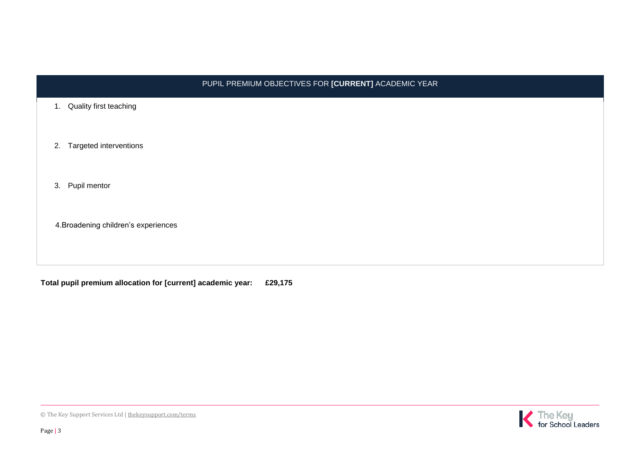| PUPIL PREMIUM OBJECTIVES FOR [CURRENT] ACADEMIC YEAR |  |  |  |
|------------------------------------------------------|--|--|--|
| 1. Quality first teaching                            |  |  |  |
| 2. Targeted interventions                            |  |  |  |
| 3. Pupil mentor                                      |  |  |  |
| 4. Broadening children's experiences                 |  |  |  |

**Total pupil premium allocation for [current] academic year: £29,175**



 $1.$ 

 $3.$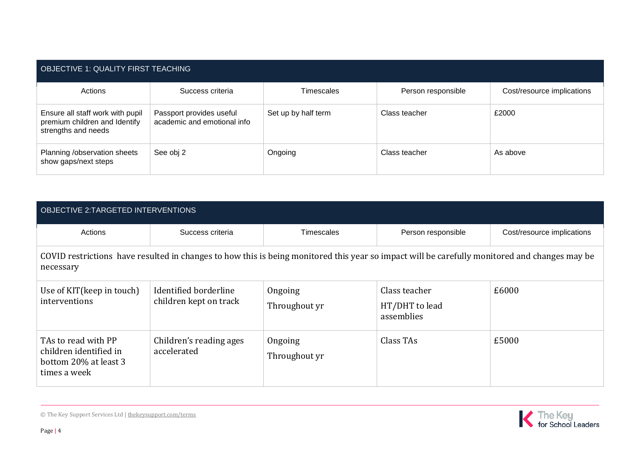| OBJECTIVE 1: QUALITY FIRST TEACHING                                                      |                                                         |                     |                    |                            |  |
|------------------------------------------------------------------------------------------|---------------------------------------------------------|---------------------|--------------------|----------------------------|--|
| Actions                                                                                  | Success criteria                                        | <b>Timescales</b>   | Person responsible | Cost/resource implications |  |
| Ensure all staff work with pupil<br>premium children and Identify<br>strengths and needs | Passport provides useful<br>academic and emotional info | Set up by half term | Class teacher      | £2000                      |  |
| Planning /observation sheets<br>show gaps/next steps                                     | See obj 2                                               | Ongoing             | Class teacher      | As above                   |  |

| OBJECTIVE 2:TARGETED INTERVENTIONS                                                                                                                         |                                                 |                          |                                               |                            |  |
|------------------------------------------------------------------------------------------------------------------------------------------------------------|-------------------------------------------------|--------------------------|-----------------------------------------------|----------------------------|--|
| Actions                                                                                                                                                    | Success criteria                                | Timescales               | Person responsible                            | Cost/resource implications |  |
| COVID restrictions have resulted in changes to how this is being monitored this year so impact will be carefully monitored and changes may be<br>necessary |                                                 |                          |                                               |                            |  |
| Use of KIT(keep in touch)<br>interventions                                                                                                                 | Identified borderline<br>children kept on track | Ongoing<br>Throughout yr | Class teacher<br>HT/DHT to lead<br>assemblies | £6000                      |  |
| TAs to read with PP<br>children identified in<br>bottom 20% at least 3<br>times a week                                                                     | Children's reading ages<br>accelerated          | Ongoing<br>Throughout yr | Class TAs                                     | £5000                      |  |



© The Key Support Services Ltd | [thekeysupport.com/terms](https://thekeysupport.com/terms-of-use)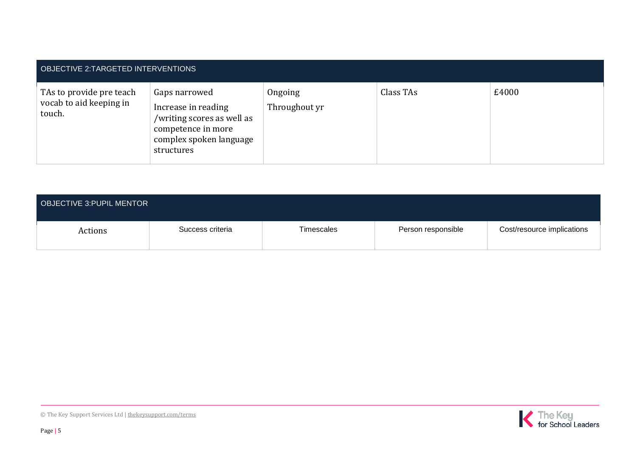| OBJECTIVE 2:TARGETED INTERVENTIONS                            |                                                                                                                                   |                          |           |       |  |
|---------------------------------------------------------------|-----------------------------------------------------------------------------------------------------------------------------------|--------------------------|-----------|-------|--|
| TAs to provide pre teach<br>vocab to aid keeping in<br>touch. | Gaps narrowed<br>Increase in reading<br>/writing scores as well as<br>competence in more<br>complex spoken language<br>structures | Ongoing<br>Throughout yr | Class TAs | £4000 |  |

| <b>OBJECTIVE 3: PUPIL MENTOR</b> |                  |            |                    |                            |
|----------------------------------|------------------|------------|--------------------|----------------------------|
| Actions                          | Success criteria | Timescales | Person responsible | Cost/resource implications |

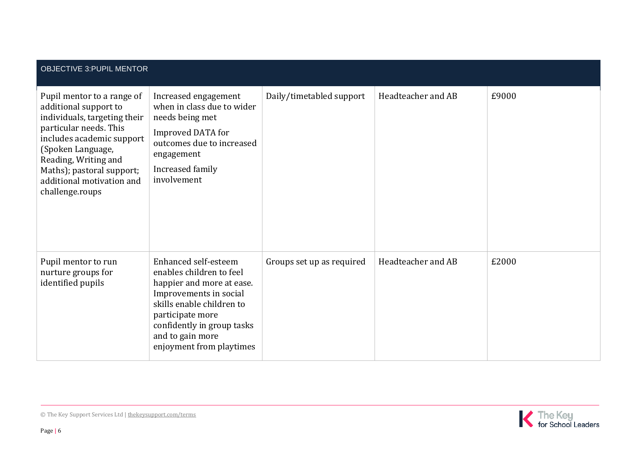| <b>OBJECTIVE 3: PUPIL MENTOR</b>                                                                                                                                                                                                                                     |                                                                                                                                                                                                                                        |                           |                    |       |  |
|----------------------------------------------------------------------------------------------------------------------------------------------------------------------------------------------------------------------------------------------------------------------|----------------------------------------------------------------------------------------------------------------------------------------------------------------------------------------------------------------------------------------|---------------------------|--------------------|-------|--|
| Pupil mentor to a range of<br>additional support to<br>individuals, targeting their<br>particular needs. This<br>includes academic support<br>(Spoken Language,<br>Reading, Writing and<br>Maths); pastoral support;<br>additional motivation and<br>challenge.roups | Increased engagement<br>when in class due to wider<br>needs being met<br>Improved DATA for<br>outcomes due to increased<br>engagement<br>Increased family<br>involvement                                                               | Daily/timetabled support  | Headteacher and AB | £9000 |  |
| Pupil mentor to run<br>nurture groups for<br>identified pupils                                                                                                                                                                                                       | Enhanced self-esteem<br>enables children to feel<br>happier and more at ease.<br>Improvements in social<br>skills enable children to<br>participate more<br>confidently in group tasks<br>and to gain more<br>enjoyment from playtimes | Groups set up as required | Headteacher and AB | £2000 |  |